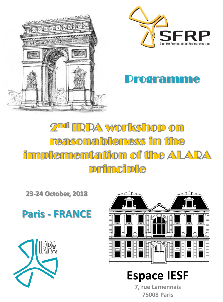



### **Drogramme**

# 2<sup>md</sup> IRPA workshop on reasonableness in the **implementation of the ALARA** principle

**23-24 October, 2018**



RPA



## **Espace IESF**

**7, rue Lamennais 75008 Paris**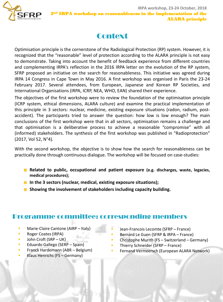

### **Context**

Optimisation principle is the cornerstone of the Radiological Protection (RP) system. However, it is recognized that the "reasonable" level of protection according to the ALARA principle is not easy to demonstrate. Taking into account the benefit of feedback experience from different countries and complementing IRPA's reflection in the 2016 IRPA letter on the evolution of the RP system, SFRP proposed an initiative on the search for reasonableness. This initiative was agreed during IRPA 14 Congress in Cape Town in May 2016. A first workshop was organised in Paris the 23-24 February 2017. Several attendees, from European, Japanese and Korean RP Societies, and International Organisations (IRPA, ICRP, NEA, WHO, EAN) shared their experience.

The objectives of the first workshop were to review the foundation of the optimisation principle (ICRP system, ethical dimensions, ALARA culture) and examine the practical implementation of this principle in 3 sectors: nuclear, medicine, existing exposure situations (radon, radium, postaccident). The participants tried to answer the question: how low is low enough? The main conclusions of the first workshop were that in all sectors, optimisation remains a challenge and that optimisation is a deliberative process to achieve a reasonable "compromise" with all (informed) stakeholders. The synthesis of the first workshop was published in "Radioprotection" (2017, Vol 52, N°4).

With the second workshop, the objective is to show how the search for reasonableness can be practically done through continuous dialogue. The workshop will be focused on case-studies:

- **Related to public, occupational and patient exposure (e.g. discharges, waste, legacies, medical procedures);**
- **In the 3 sectors (nuclear, medical, existing exposure situations);**
- **Showing the involvement of stakeholders including capacity building.**

#### Programme committee: corresponding members

- **Marie-Claire Cantone (AIRP Italy)**
- **Roger Coates (IRPA)**
- $\blacksquare$  John Croft (SRP UK)
- **Eduardo Gallego (SERP Spain)**
- **Franck Hardemann (ABR Belgium)**
- Klaus Henrichs (FS Germany)
- Jean-Francois Lecomte (SFRP France)
- Bernard Le Guen (SFRP & IRPA France)
- Christophe Murith (FS Switzerland Germany)
- Thierry Schneider (SFRP France)
- Fernand Vermeersch (European ALARA Network)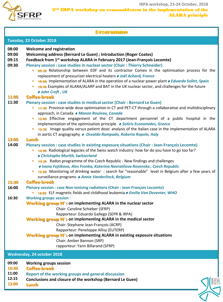

| <b>Programme</b>                          |                                                                                                                                                                                                                                                                                                                                                                                                                                                                                                                                                                                                                                                                                              |  |
|-------------------------------------------|----------------------------------------------------------------------------------------------------------------------------------------------------------------------------------------------------------------------------------------------------------------------------------------------------------------------------------------------------------------------------------------------------------------------------------------------------------------------------------------------------------------------------------------------------------------------------------------------------------------------------------------------------------------------------------------------|--|
|                                           | Tuesday, 23 October 2018                                                                                                                                                                                                                                                                                                                                                                                                                                                                                                                                                                                                                                                                     |  |
| 08:00<br>09:00<br>09:15<br>09:30          | <b>Welcome and registration</b><br>Welcoming address (Bernard Le Guen) ; Introduction (Roger Coates)<br>Feedback from 1 <sup>st</sup> workshop ALARA in February 2017 (Jean-François Lecomte)<br>Plenary session : case studies in nuclear sector (Chair : Thierry Schneider)<br>• 09:30 Relationship between EDF and its contractor Comex in the optimisation process for the<br>replacement of pressurizer electrical heaters ♦ Joël Achard, France<br>10:00 Implementation of ALARA in the operation of a nuclear power plant ♦ Eduardo Sollet, Spain<br>$\bullet$<br>. 10:30 Examples of ALARA/ALARP and BAT in the UK nuclear sector, and challenges for the future<br>♦ John Croft, UK |  |
| <b>11:00</b><br>11:30                     | <b>Coffee-break</b><br>Plenary session : case studies in medical sector (Chair : Bernard Le Guen)<br>• 11:30 Province-wide dose optimisation in CT and PET-CT through a collaborative and multidisciplinary<br>approach, in Canada ♦ Manon Rouleau, Canada<br>. 12:00 Effective engagement of the CT department personnel of a public hospital in the<br>implementation of the optimisation principle ◆ Sotiris Economides, Greece<br>. 12:30 Image quality versus patient dose: analysis of the Italian case in the implementation of ALARA<br>in aortic CT angiography ♦ Osvaldo Rampado, Roberto Ropolo, Italy                                                                            |  |
| 13:00<br>14:00<br>15:30<br>16:00          | <b>Lunch</b><br>Plenary session : case studies in existing exposure situations (Chair : Jean-François Lecomte)<br>• 14:00 Radiological legacies of the Swiss watch industry: how far do you have to go too far?<br>♦ Christophe Murith, Switzerland<br>. 14:30 Radon programme of the Czech Republic - New findings and challenges<br>◆ Ivana Fojtikova, Ales Fronka, Katerina Navratilova Rovenska, Czech Republic<br>. 15:00 Monitoring of drinking water: search for "reasonable" level in Belgium after a few years of<br>surveillance programs ◆ Annie Vanderlinck, Belgium<br><b>Coffee-break</b><br>Plenary session : case Non-ionising radiations (Chair : Jean-François Lecomte)    |  |
| 16:30                                     | ● 16:00 ELF magnetic fields and childhood leukemia ♦ Emilie Van Deventer, WHO<br><b>Working groups session:</b><br><b>Working group <math>N^{\circ}</math></b> ton implementing ALARA in the nuclear sector<br>Chair: Caroline Schieber (SFRP)<br>Rapporteur: Eduardo Gallego (SEPR & IRPA)<br><b>Working group <math>N^{\circ}</math> on implementing ALARA in the medical sector</b><br>Chair: Stephane Jean-François (ACRP)<br>Rapporteur: Peneloppe Allisy (EUTERP)<br><b>Working group N°3</b> on implementing ALARA in existing exposure situations<br>Chair: Amber Bannon (SRP)<br>rapporteur: Yann Billarand (SFRP)                                                                  |  |
| <b>Wednesday, 24 october 2018</b>         |                                                                                                                                                                                                                                                                                                                                                                                                                                                                                                                                                                                                                                                                                              |  |
| 09:00<br>10:30<br>11:00<br>12:15<br>13:00 | <b>Working groups session</b><br><b>Coffee-break</b><br>Report of the working groups and general discussion<br>Conclusions and closure of the workshop (Bernard Le Guen)<br><b>Lunch</b>                                                                                                                                                                                                                                                                                                                                                                                                                                                                                                     |  |

**13:00 Lunch**